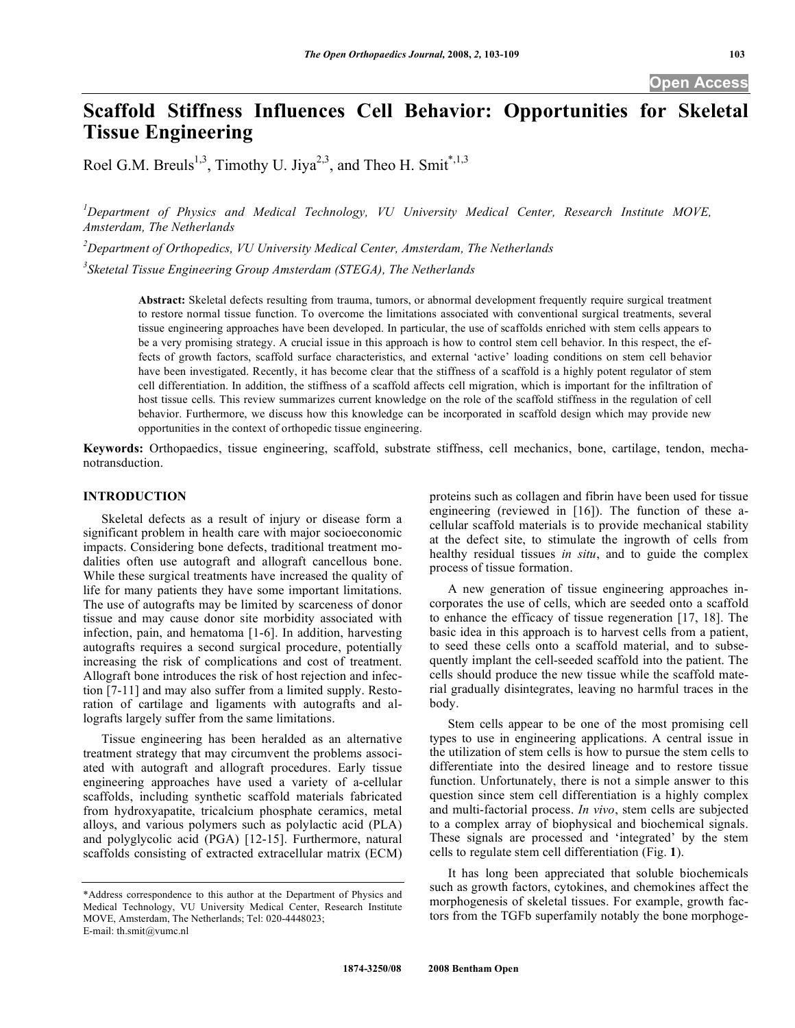# **Scaffold Stiffness Influences Cell Behavior: Opportunities for Skeletal Tissue Engineering**

Roel G.M. Breuls<sup>1,3</sup>, Timothy U. Jiya<sup>2,3</sup>, and Theo H. Smit<sup>\*,1,3</sup>

*1 Department of Physics and Medical Technology, VU University Medical Center, Research Institute MOVE, Amsterdam, The Netherlands* 

*2 Department of Orthopedics, VU University Medical Center, Amsterdam, The Netherlands* 

*3 Sketetal Tissue Engineering Group Amsterdam (STEGA), The Netherlands* 

**Abstract:** Skeletal defects resulting from trauma, tumors, or abnormal development frequently require surgical treatment to restore normal tissue function. To overcome the limitations associated with conventional surgical treatments, several tissue engineering approaches have been developed. In particular, the use of scaffolds enriched with stem cells appears to be a very promising strategy. A crucial issue in this approach is how to control stem cell behavior. In this respect, the effects of growth factors, scaffold surface characteristics, and external 'active' loading conditions on stem cell behavior have been investigated. Recently, it has become clear that the stiffness of a scaffold is a highly potent regulator of stem cell differentiation. In addition, the stiffness of a scaffold affects cell migration, which is important for the infiltration of host tissue cells. This review summarizes current knowledge on the role of the scaffold stiffness in the regulation of cell behavior. Furthermore, we discuss how this knowledge can be incorporated in scaffold design which may provide new opportunities in the context of orthopedic tissue engineering.

**Keywords:** Orthopaedics, tissue engineering, scaffold, substrate stiffness, cell mechanics, bone, cartilage, tendon, mechanotransduction.

# **INTRODUCTION**

 Skeletal defects as a result of injury or disease form a significant problem in health care with major socioeconomic impacts. Considering bone defects, traditional treatment modalities often use autograft and allograft cancellous bone. While these surgical treatments have increased the quality of life for many patients they have some important limitations. The use of autografts may be limited by scarceness of donor tissue and may cause donor site morbidity associated with infection, pain, and hematoma [1-6]. In addition, harvesting autografts requires a second surgical procedure, potentially increasing the risk of complications and cost of treatment. Allograft bone introduces the risk of host rejection and infection [7-11] and may also suffer from a limited supply. Restoration of cartilage and ligaments with autografts and allografts largely suffer from the same limitations.

 Tissue engineering has been heralded as an alternative treatment strategy that may circumvent the problems associated with autograft and allograft procedures. Early tissue engineering approaches have used a variety of a-cellular scaffolds, including synthetic scaffold materials fabricated from hydroxyapatite, tricalcium phosphate ceramics, metal alloys, and various polymers such as polylactic acid (PLA) and polyglycolic acid (PGA) [12-15]. Furthermore, natural scaffolds consisting of extracted extracellular matrix (ECM) proteins such as collagen and fibrin have been used for tissue engineering (reviewed in [16]). The function of these acellular scaffold materials is to provide mechanical stability at the defect site, to stimulate the ingrowth of cells from healthy residual tissues *in situ*, and to guide the complex process of tissue formation.

A new generation of tissue engineering approaches incorporates the use of cells, which are seeded onto a scaffold to enhance the efficacy of tissue regeneration [17, 18]. The basic idea in this approach is to harvest cells from a patient, to seed these cells onto a scaffold material, and to subsequently implant the cell-seeded scaffold into the patient. The cells should produce the new tissue while the scaffold material gradually disintegrates, leaving no harmful traces in the body.

 Stem cells appear to be one of the most promising cell types to use in engineering applications. A central issue in the utilization of stem cells is how to pursue the stem cells to differentiate into the desired lineage and to restore tissue function. Unfortunately, there is not a simple answer to this question since stem cell differentiation is a highly complex and multi-factorial process. *In vivo*, stem cells are subjected to a complex array of biophysical and biochemical signals. These signals are processed and 'integrated' by the stem cells to regulate stem cell differentiation (Fig. **1**).

 It has long been appreciated that soluble biochemicals such as growth factors, cytokines, and chemokines affect the morphogenesis of skeletal tissues. For example, growth factors from the TGFb superfamily notably the bone morphoge-

<sup>\*</sup>Address correspondence to this author at the Department of Physics and Medical Technology, VU University Medical Center, Research Institute MOVE, Amsterdam, The Netherlands; Tel: 020-4448023; E-mail: th.smit@vumc.nl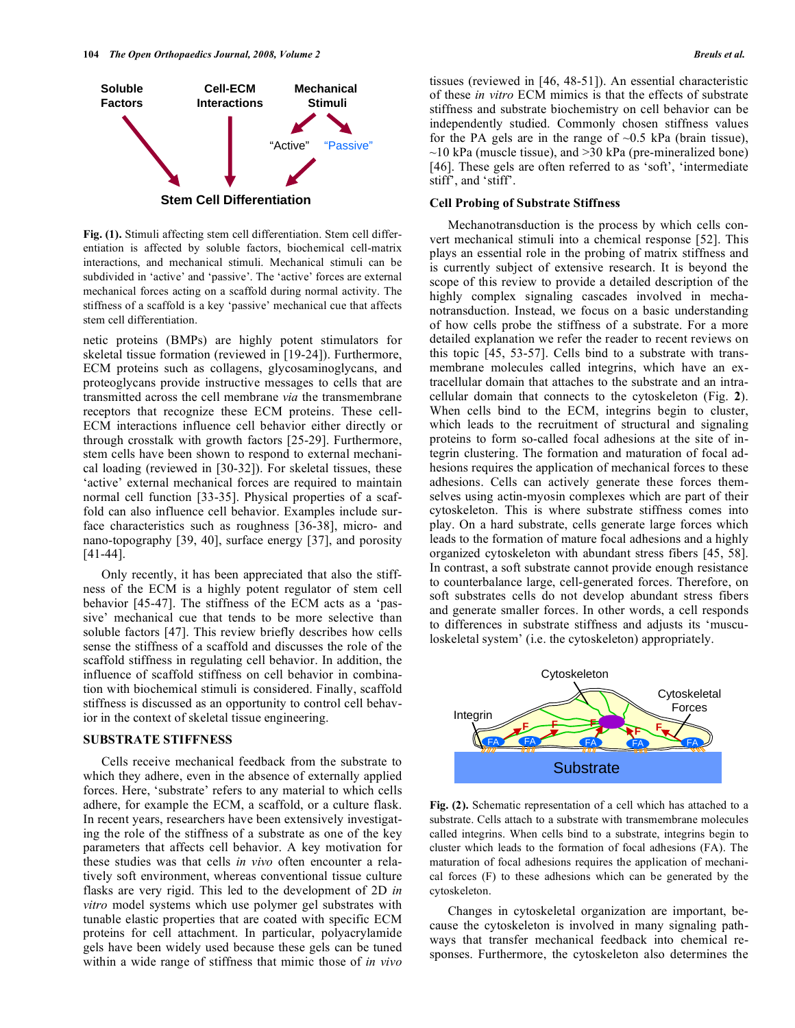

**Fig. (1).** Stimuli affecting stem cell differentiation. Stem cell differentiation is affected by soluble factors, biochemical cell-matrix interactions, and mechanical stimuli. Mechanical stimuli can be subdivided in 'active' and 'passive'. The 'active' forces are external mechanical forces acting on a scaffold during normal activity. The stiffness of a scaffold is a key 'passive' mechanical cue that affects stem cell differentiation.

netic proteins (BMPs) are highly potent stimulators for skeletal tissue formation (reviewed in [19-24]). Furthermore, ECM proteins such as collagens, glycosaminoglycans, and proteoglycans provide instructive messages to cells that are transmitted across the cell membrane *via* the transmembrane receptors that recognize these ECM proteins. These cell-ECM interactions influence cell behavior either directly or through crosstalk with growth factors [25-29]. Furthermore, stem cells have been shown to respond to external mechanical loading (reviewed in [30-32]). For skeletal tissues, these 'active' external mechanical forces are required to maintain normal cell function [33-35]. Physical properties of a scaffold can also influence cell behavior. Examples include surface characteristics such as roughness [36-38], micro- and nano-topography [39, 40], surface energy [37], and porosity [41-44].

 Only recently, it has been appreciated that also the stiffness of the ECM is a highly potent regulator of stem cell behavior [45-47]. The stiffness of the ECM acts as a 'passive' mechanical cue that tends to be more selective than soluble factors [47]. This review briefly describes how cells sense the stiffness of a scaffold and discusses the role of the scaffold stiffness in regulating cell behavior. In addition, the influence of scaffold stiffness on cell behavior in combination with biochemical stimuli is considered. Finally, scaffold stiffness is discussed as an opportunity to control cell behavior in the context of skeletal tissue engineering.

### **SUBSTRATE STIFFNESS**

 Cells receive mechanical feedback from the substrate to which they adhere, even in the absence of externally applied forces. Here, 'substrate' refers to any material to which cells adhere, for example the ECM, a scaffold, or a culture flask. In recent years, researchers have been extensively investigating the role of the stiffness of a substrate as one of the key parameters that affects cell behavior. A key motivation for these studies was that cells *in vivo* often encounter a relatively soft environment, whereas conventional tissue culture flasks are very rigid. This led to the development of 2D *in vitro* model systems which use polymer gel substrates with tunable elastic properties that are coated with specific ECM proteins for cell attachment. In particular, polyacrylamide gels have been widely used because these gels can be tuned within a wide range of stiffness that mimic those of *in vivo*

tissues (reviewed in [46, 48-51]). An essential characteristic of these *in vitro* ECM mimics is that the effects of substrate stiffness and substrate biochemistry on cell behavior can be independently studied. Commonly chosen stiffness values for the PA gels are in the range of  $\sim 0.5$  kPa (brain tissue),  $\sim$ 10 kPa (muscle tissue), and  $>$ 30 kPa (pre-mineralized bone) [46]. These gels are often referred to as 'soft', 'intermediate stiff', and 'stiff'.

### **Cell Probing of Substrate Stiffness**

 Mechanotransduction is the process by which cells convert mechanical stimuli into a chemical response [52]. This plays an essential role in the probing of matrix stiffness and is currently subject of extensive research. It is beyond the scope of this review to provide a detailed description of the highly complex signaling cascades involved in mechanotransduction. Instead, we focus on a basic understanding of how cells probe the stiffness of a substrate. For a more detailed explanation we refer the reader to recent reviews on this topic [45, 53-57]. Cells bind to a substrate with transmembrane molecules called integrins, which have an extracellular domain that attaches to the substrate and an intracellular domain that connects to the cytoskeleton (Fig. **2**). When cells bind to the ECM, integrins begin to cluster, which leads to the recruitment of structural and signaling proteins to form so-called focal adhesions at the site of integrin clustering. The formation and maturation of focal adhesions requires the application of mechanical forces to these adhesions. Cells can actively generate these forces themselves using actin-myosin complexes which are part of their cytoskeleton. This is where substrate stiffness comes into play. On a hard substrate, cells generate large forces which leads to the formation of mature focal adhesions and a highly organized cytoskeleton with abundant stress fibers [45, 58]. In contrast, a soft substrate cannot provide enough resistance to counterbalance large, cell-generated forces. Therefore, on soft substrates cells do not develop abundant stress fibers and generate smaller forces. In other words, a cell responds to differences in substrate stiffness and adjusts its 'musculoskeletal system' (i.e. the cytoskeleton) appropriately.



**Fig. (2).** Schematic representation of a cell which has attached to a substrate. Cells attach to a substrate with transmembrane molecules called integrins. When cells bind to a substrate, integrins begin to cluster which leads to the formation of focal adhesions (FA). The maturation of focal adhesions requires the application of mechanical forces (F) to these adhesions which can be generated by the cytoskeleton.

 Changes in cytoskeletal organization are important, because the cytoskeleton is involved in many signaling pathways that transfer mechanical feedback into chemical responses. Furthermore, the cytoskeleton also determines the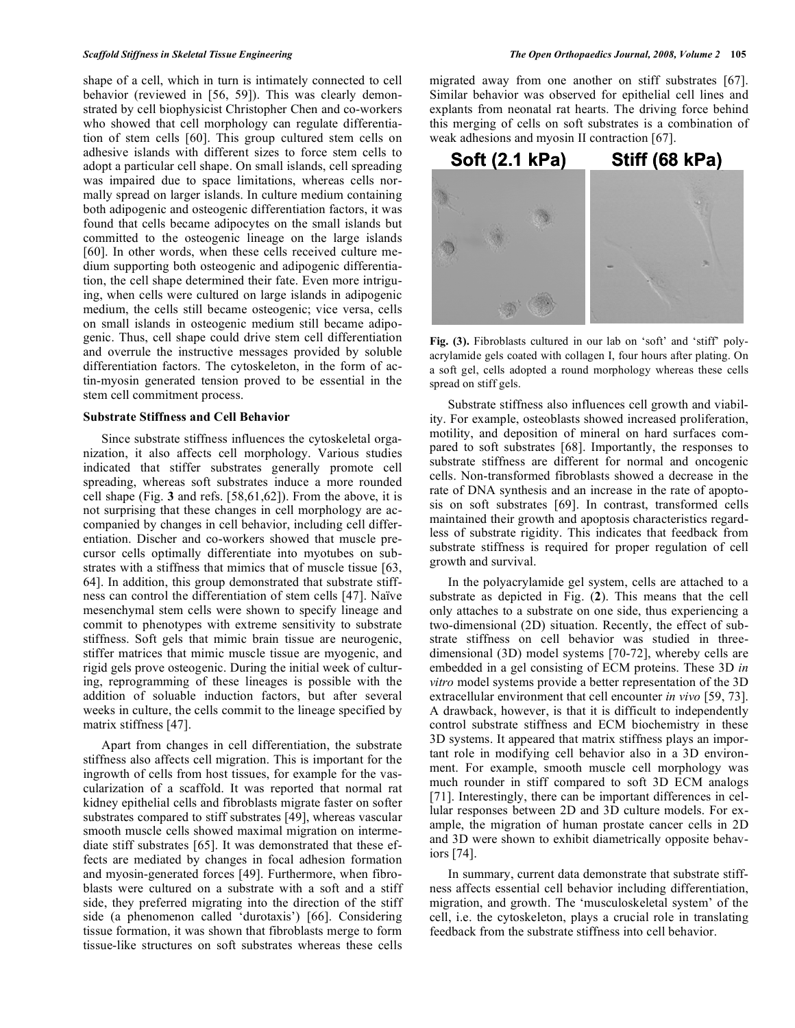shape of a cell, which in turn is intimately connected to cell behavior (reviewed in [56, 59]). This was clearly demonstrated by cell biophysicist Christopher Chen and co-workers who showed that cell morphology can regulate differentiation of stem cells [60]. This group cultured stem cells on adhesive islands with different sizes to force stem cells to adopt a particular cell shape. On small islands, cell spreading was impaired due to space limitations, whereas cells normally spread on larger islands. In culture medium containing both adipogenic and osteogenic differentiation factors, it was found that cells became adipocytes on the small islands but committed to the osteogenic lineage on the large islands [60]. In other words, when these cells received culture medium supporting both osteogenic and adipogenic differentiation, the cell shape determined their fate. Even more intriguing, when cells were cultured on large islands in adipogenic medium, the cells still became osteogenic; vice versa, cells on small islands in osteogenic medium still became adipogenic. Thus, cell shape could drive stem cell differentiation and overrule the instructive messages provided by soluble differentiation factors. The cytoskeleton, in the form of actin-myosin generated tension proved to be essential in the stem cell commitment process.

#### **Substrate Stiffness and Cell Behavior**

 Since substrate stiffness influences the cytoskeletal organization, it also affects cell morphology. Various studies indicated that stiffer substrates generally promote cell spreading, whereas soft substrates induce a more rounded cell shape (Fig. **3** and refs. [58,61,62]). From the above, it is not surprising that these changes in cell morphology are accompanied by changes in cell behavior, including cell differentiation. Discher and co-workers showed that muscle precursor cells optimally differentiate into myotubes on substrates with a stiffness that mimics that of muscle tissue [63, 64]. In addition, this group demonstrated that substrate stiffness can control the differentiation of stem cells [47]. Naïve mesenchymal stem cells were shown to specify lineage and commit to phenotypes with extreme sensitivity to substrate stiffness. Soft gels that mimic brain tissue are neurogenic, stiffer matrices that mimic muscle tissue are myogenic, and rigid gels prove osteogenic. During the initial week of culturing, reprogramming of these lineages is possible with the addition of soluable induction factors, but after several weeks in culture, the cells commit to the lineage specified by matrix stiffness [47].

 Apart from changes in cell differentiation, the substrate stiffness also affects cell migration. This is important for the ingrowth of cells from host tissues, for example for the vascularization of a scaffold. It was reported that normal rat kidney epithelial cells and fibroblasts migrate faster on softer substrates compared to stiff substrates [49], whereas vascular smooth muscle cells showed maximal migration on intermediate stiff substrates [65]. It was demonstrated that these effects are mediated by changes in focal adhesion formation and myosin-generated forces [49]. Furthermore, when fibroblasts were cultured on a substrate with a soft and a stiff side, they preferred migrating into the direction of the stiff side (a phenomenon called 'durotaxis') [66]. Considering tissue formation, it was shown that fibroblasts merge to form tissue-like structures on soft substrates whereas these cells

migrated away from one another on stiff substrates [67]. Similar behavior was observed for epithelial cell lines and explants from neonatal rat hearts. The driving force behind this merging of cells on soft substrates is a combination of weak adhesions and myosin II contraction [67].

|  | Soft (2.1 kPa) | Stiff (68 kPa) |
|--|----------------|----------------|
|  |                |                |
|  |                |                |

Fig. (3). Fibroblasts cultured in our lab on 'soft' and 'stiff' polyacrylamide gels coated with collagen I, four hours after plating. On a soft gel, cells adopted a round morphology whereas these cells spread on stiff gels.

 Substrate stiffness also influences cell growth and viability. For example, osteoblasts showed increased proliferation, motility, and deposition of mineral on hard surfaces compared to soft substrates [68]. Importantly, the responses to substrate stiffness are different for normal and oncogenic cells. Non-transformed fibroblasts showed a decrease in the rate of DNA synthesis and an increase in the rate of apoptosis on soft substrates [69]. In contrast, transformed cells maintained their growth and apoptosis characteristics regardless of substrate rigidity. This indicates that feedback from substrate stiffness is required for proper regulation of cell growth and survival.

 In the polyacrylamide gel system, cells are attached to a substrate as depicted in Fig. (**2**). This means that the cell only attaches to a substrate on one side, thus experiencing a two-dimensional (2D) situation. Recently, the effect of substrate stiffness on cell behavior was studied in threedimensional (3D) model systems [70-72], whereby cells are embedded in a gel consisting of ECM proteins. These 3D *in vitro* model systems provide a better representation of the 3D extracellular environment that cell encounter *in vivo* [59, 73]. A drawback, however, is that it is difficult to independently control substrate stiffness and ECM biochemistry in these 3D systems. It appeared that matrix stiffness plays an important role in modifying cell behavior also in a 3D environment. For example, smooth muscle cell morphology was much rounder in stiff compared to soft 3D ECM analogs [71]. Interestingly, there can be important differences in cellular responses between 2D and 3D culture models. For example, the migration of human prostate cancer cells in 2D and 3D were shown to exhibit diametrically opposite behaviors [74].

 In summary, current data demonstrate that substrate stiffness affects essential cell behavior including differentiation, migration, and growth. The 'musculoskeletal system' of the cell, i.e. the cytoskeleton, plays a crucial role in translating feedback from the substrate stiffness into cell behavior.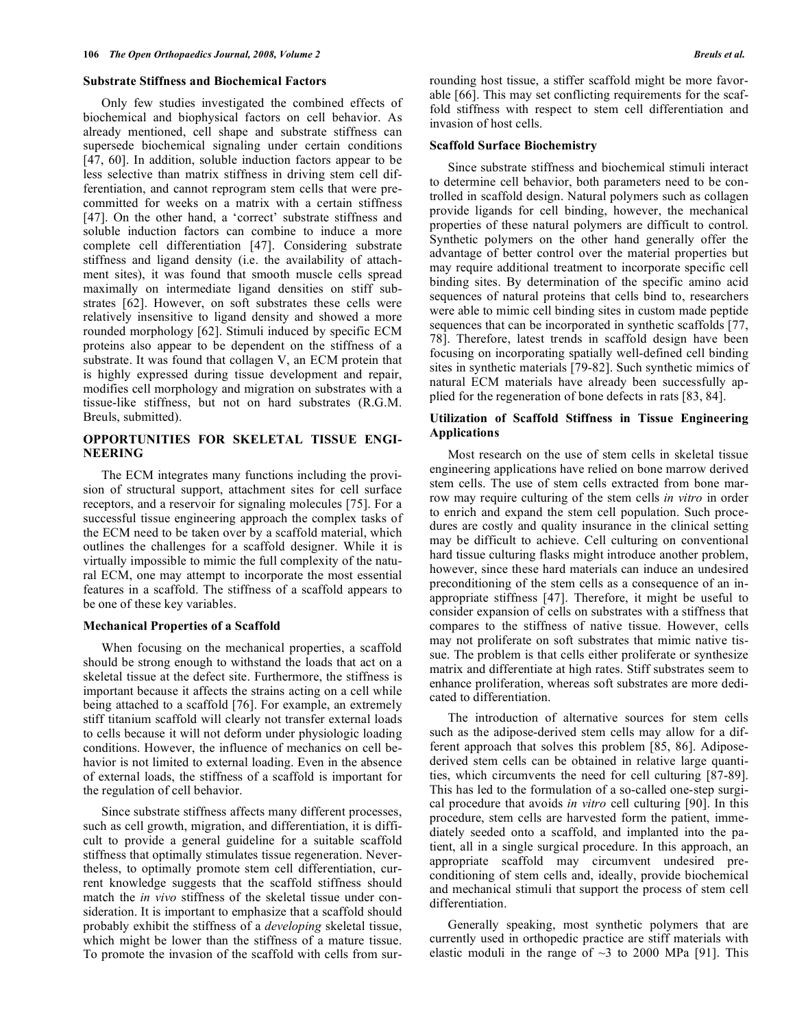#### **Substrate Stiffness and Biochemical Factors**

 Only few studies investigated the combined effects of biochemical and biophysical factors on cell behavior. As already mentioned, cell shape and substrate stiffness can supersede biochemical signaling under certain conditions [47, 60]. In addition, soluble induction factors appear to be less selective than matrix stiffness in driving stem cell differentiation, and cannot reprogram stem cells that were precommitted for weeks on a matrix with a certain stiffness [47]. On the other hand, a 'correct' substrate stiffness and soluble induction factors can combine to induce a more complete cell differentiation [47]. Considering substrate stiffness and ligand density (i.e. the availability of attachment sites), it was found that smooth muscle cells spread maximally on intermediate ligand densities on stiff substrates [62]. However, on soft substrates these cells were relatively insensitive to ligand density and showed a more rounded morphology [62]. Stimuli induced by specific ECM proteins also appear to be dependent on the stiffness of a substrate. It was found that collagen V, an ECM protein that is highly expressed during tissue development and repair, modifies cell morphology and migration on substrates with a tissue-like stiffness, but not on hard substrates (R.G.M. Breuls, submitted).

# **OPPORTUNITIES FOR SKELETAL TISSUE ENGI-NEERING**

 The ECM integrates many functions including the provision of structural support, attachment sites for cell surface receptors, and a reservoir for signaling molecules [75]. For a successful tissue engineering approach the complex tasks of the ECM need to be taken over by a scaffold material, which outlines the challenges for a scaffold designer. While it is virtually impossible to mimic the full complexity of the natural ECM, one may attempt to incorporate the most essential features in a scaffold. The stiffness of a scaffold appears to be one of these key variables.

# **Mechanical Properties of a Scaffold**

 When focusing on the mechanical properties, a scaffold should be strong enough to withstand the loads that act on a skeletal tissue at the defect site. Furthermore, the stiffness is important because it affects the strains acting on a cell while being attached to a scaffold [76]. For example, an extremely stiff titanium scaffold will clearly not transfer external loads to cells because it will not deform under physiologic loading conditions. However, the influence of mechanics on cell behavior is not limited to external loading. Even in the absence of external loads, the stiffness of a scaffold is important for the regulation of cell behavior.

 Since substrate stiffness affects many different processes, such as cell growth, migration, and differentiation, it is difficult to provide a general guideline for a suitable scaffold stiffness that optimally stimulates tissue regeneration. Nevertheless, to optimally promote stem cell differentiation, current knowledge suggests that the scaffold stiffness should match the *in vivo* stiffness of the skeletal tissue under consideration. It is important to emphasize that a scaffold should probably exhibit the stiffness of a *developing* skeletal tissue, which might be lower than the stiffness of a mature tissue. To promote the invasion of the scaffold with cells from surrounding host tissue, a stiffer scaffold might be more favorable [66]. This may set conflicting requirements for the scaffold stiffness with respect to stem cell differentiation and invasion of host cells.

#### **Scaffold Surface Biochemistry**

 Since substrate stiffness and biochemical stimuli interact to determine cell behavior, both parameters need to be controlled in scaffold design. Natural polymers such as collagen provide ligands for cell binding, however, the mechanical properties of these natural polymers are difficult to control. Synthetic polymers on the other hand generally offer the advantage of better control over the material properties but may require additional treatment to incorporate specific cell binding sites. By determination of the specific amino acid sequences of natural proteins that cells bind to, researchers were able to mimic cell binding sites in custom made peptide sequences that can be incorporated in synthetic scaffolds [77, 78]. Therefore, latest trends in scaffold design have been focusing on incorporating spatially well-defined cell binding sites in synthetic materials [79-82]. Such synthetic mimics of natural ECM materials have already been successfully applied for the regeneration of bone defects in rats [83, 84].

# **Utilization of Scaffold Stiffness in Tissue Engineering Applications**

 Most research on the use of stem cells in skeletal tissue engineering applications have relied on bone marrow derived stem cells. The use of stem cells extracted from bone marrow may require culturing of the stem cells *in vitro* in order to enrich and expand the stem cell population. Such procedures are costly and quality insurance in the clinical setting may be difficult to achieve. Cell culturing on conventional hard tissue culturing flasks might introduce another problem, however, since these hard materials can induce an undesired preconditioning of the stem cells as a consequence of an inappropriate stiffness [47]. Therefore, it might be useful to consider expansion of cells on substrates with a stiffness that compares to the stiffness of native tissue. However, cells may not proliferate on soft substrates that mimic native tissue. The problem is that cells either proliferate or synthesize matrix and differentiate at high rates. Stiff substrates seem to enhance proliferation, whereas soft substrates are more dedicated to differentiation.

 The introduction of alternative sources for stem cells such as the adipose-derived stem cells may allow for a different approach that solves this problem [85, 86]. Adiposederived stem cells can be obtained in relative large quantities, which circumvents the need for cell culturing [87-89]. This has led to the formulation of a so-called one-step surgical procedure that avoids *in vitro* cell culturing [90]. In this procedure, stem cells are harvested form the patient, immediately seeded onto a scaffold, and implanted into the patient, all in a single surgical procedure. In this approach, an appropriate scaffold may circumvent undesired preconditioning of stem cells and, ideally, provide biochemical and mechanical stimuli that support the process of stem cell differentiation.

 Generally speaking, most synthetic polymers that are currently used in orthopedic practice are stiff materials with elastic moduli in the range of  $\sim$ 3 to 2000 MPa [91]. This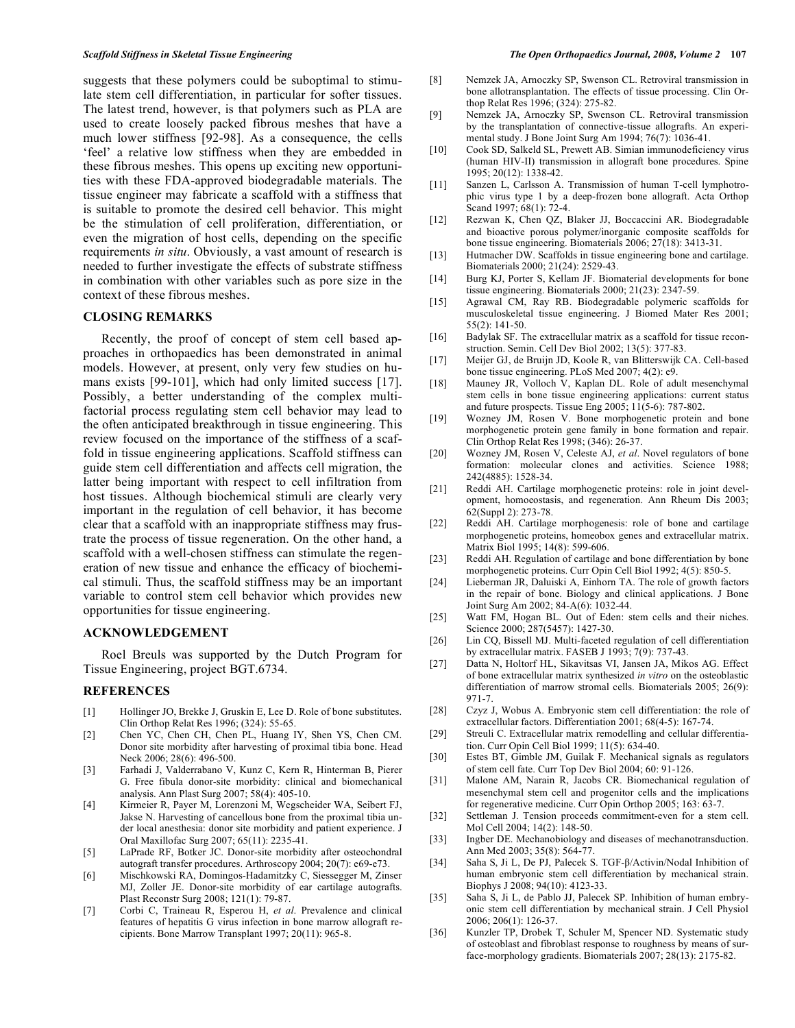suggests that these polymers could be suboptimal to stimulate stem cell differentiation, in particular for softer tissues. The latest trend, however, is that polymers such as PLA are used to create loosely packed fibrous meshes that have a much lower stiffness [92-98]. As a consequence, the cells 'feel' a relative low stiffness when they are embedded in these fibrous meshes. This opens up exciting new opportunities with these FDA-approved biodegradable materials. The tissue engineer may fabricate a scaffold with a stiffness that is suitable to promote the desired cell behavior. This might be the stimulation of cell proliferation, differentiation, or even the migration of host cells, depending on the specific requirements *in situ*. Obviously, a vast amount of research is needed to further investigate the effects of substrate stiffness in combination with other variables such as pore size in the context of these fibrous meshes.

#### **CLOSING REMARKS**

 Recently, the proof of concept of stem cell based approaches in orthopaedics has been demonstrated in animal models. However, at present, only very few studies on humans exists [99-101], which had only limited success [17]. Possibly, a better understanding of the complex multifactorial process regulating stem cell behavior may lead to the often anticipated breakthrough in tissue engineering. This review focused on the importance of the stiffness of a scaffold in tissue engineering applications. Scaffold stiffness can guide stem cell differentiation and affects cell migration, the latter being important with respect to cell infiltration from host tissues. Although biochemical stimuli are clearly very important in the regulation of cell behavior, it has become clear that a scaffold with an inappropriate stiffness may frustrate the process of tissue regeneration. On the other hand, a scaffold with a well-chosen stiffness can stimulate the regeneration of new tissue and enhance the efficacy of biochemical stimuli. Thus, the scaffold stiffness may be an important variable to control stem cell behavior which provides new opportunities for tissue engineering.

#### **ACKNOWLEDGEMENT**

 Roel Breuls was supported by the Dutch Program for Tissue Engineering, project BGT.6734.

### **REFERENCES**

- [1] Hollinger JO, Brekke J, Gruskin E, Lee D. Role of bone substitutes. Clin Orthop Relat Res 1996; (324): 55-65.
- [2] Chen YC, Chen CH, Chen PL, Huang IY, Shen YS, Chen CM. Donor site morbidity after harvesting of proximal tibia bone. Head Neck 2006; 28(6): 496-500.
- [3] Farhadi J, Valderrabano V, Kunz C, Kern R, Hinterman B, Pierer G. Free fibula donor-site morbidity: clinical and biomechanical analysis. Ann Plast Surg 2007; 58(4): 405-10.
- [4] Kirmeier R, Payer M, Lorenzoni M, Wegscheider WA, Seibert FJ, Jakse N. Harvesting of cancellous bone from the proximal tibia under local anesthesia: donor site morbidity and patient experience. J Oral Maxillofac Surg 2007; 65(11): 2235-41.
- [5] LaPrade RF, Botker JC. Donor-site morbidity after osteochondral autograft transfer procedures. Arthroscopy 2004; 20(7): e69-e73.
- [6] Mischkowski RA, Domingos-Hadamitzky C, Siessegger M, Zinser MJ, Zoller JE. Donor-site morbidity of ear cartilage autografts. Plast Reconstr Surg 2008; 121(1): 79-87.
- [7] Corbi C, Traineau R, Esperou H, *et al*. Prevalence and clinical features of hepatitis G virus infection in bone marrow allograft recipients. Bone Marrow Transplant 1997; 20(11): 965-8.
- [8] Nemzek JA, Arnoczky SP, Swenson CL. Retroviral transmission in bone allotransplantation. The effects of tissue processing. Clin Orthop Relat Res 1996; (324): 275-82.
- [9] Nemzek JA, Arnoczky SP, Swenson CL. Retroviral transmission by the transplantation of connective-tissue allografts. An experimental study. J Bone Joint Surg Am 1994; 76(7): 1036-41.
- [10] Cook SD, Salkeld SL, Prewett AB. Simian immunodeficiency virus (human HIV-II) transmission in allograft bone procedures. Spine 1995; 20(12): 1338-42.
- [11] Sanzen L, Carlsson A. Transmission of human T-cell lymphotrophic virus type 1 by a deep-frozen bone allograft. Acta Orthop Scand 1997; 68(1): 72-4.
- [12] Rezwan K, Chen QZ, Blaker JJ, Boccaccini AR. Biodegradable and bioactive porous polymer/inorganic composite scaffolds for bone tissue engineering. Biomaterials  $2006$ ;  $27(18)$ : 3413-31.
- [13] Hutmacher DW. Scaffolds in tissue engineering bone and cartilage. Biomaterials 2000; 21(24): 2529-43.
- [14] Burg KJ, Porter S, Kellam JF. Biomaterial developments for bone tissue engineering. Biomaterials 2000; 21(23): 2347-59.
- [15] Agrawal CM, Ray RB. Biodegradable polymeric scaffolds for musculoskeletal tissue engineering. J Biomed Mater Res 2001; 55(2): 141-50.
- [16] Badylak SF. The extracellular matrix as a scaffold for tissue reconstruction. Semin. Cell Dev Biol 2002; 13(5): 377-83.
- [17] Meijer GJ, de Bruijn JD, Koole R, van Blitterswijk CA. Cell-based bone tissue engineering. PLoS Med 2007; 4(2): e9.
- [18] Mauney JR, Volloch V, Kaplan DL. Role of adult mesenchymal stem cells in bone tissue engineering applications: current status and future prospects. Tissue Eng 2005; 11(5-6): 787-802.
- [19] Wozney JM, Rosen V. Bone morphogenetic protein and bone morphogenetic protein gene family in bone formation and repair. Clin Orthop Relat Res 1998; (346): 26-37.
- [20] Wozney JM, Rosen V, Celeste AJ, *et al*. Novel regulators of bone formation: molecular clones and activities. Science 1988; 242(4885): 1528-34.
- [21] Reddi AH. Cartilage morphogenetic proteins: role in joint development, homoeostasis, and regeneration. Ann Rheum Dis 2003; 62(Suppl 2): 273-78.
- [22] Reddi AH. Cartilage morphogenesis: role of bone and cartilage morphogenetic proteins, homeobox genes and extracellular matrix. Matrix Biol 1995; 14(8): 599-606.
- [23] Reddi AH. Regulation of cartilage and bone differentiation by bone morphogenetic proteins. Curr Opin Cell Biol 1992; 4(5): 850-5.
- [24] Lieberman JR, Daluiski A, Einhorn TA. The role of growth factors in the repair of bone. Biology and clinical applications. J Bone Joint Surg Am 2002; 84-A(6): 1032-44.
- [25] Watt FM, Hogan BL. Out of Eden: stem cells and their niches. Science 2000; 287(5457): 1427-30.
- [26] Lin CQ, Bissell MJ. Multi-faceted regulation of cell differentiation by extracellular matrix. FASEB J 1993; 7(9): 737-43.
- [27] Datta N, Holtorf HL, Sikavitsas VI, Jansen JA, Mikos AG. Effect of bone extracellular matrix synthesized *in vitro* on the osteoblastic differentiation of marrow stromal cells. Biomaterials 2005; 26(9): 971-7.
- [28] Czyz J, Wobus A. Embryonic stem cell differentiation: the role of extracellular factors. Differentiation 2001; 68(4-5): 167-74.
- [29] Streuli C. Extracellular matrix remodelling and cellular differentiation. Curr Opin Cell Biol 1999; 11(5): 634-40.
- [30] Estes BT, Gimble JM, Guilak F. Mechanical signals as regulators of stem cell fate. Curr Top Dev Biol 2004; 60: 91-126.
- [31] Malone AM, Narain R, Jacobs CR. Biomechanical regulation of mesenchymal stem cell and progenitor cells and the implications for regenerative medicine. Curr Opin Orthop 2005; 163: 63-7.
- [32] Settleman J. Tension proceeds commitment-even for a stem cell. Mol Cell 2004; 14(2): 148-50.
- [33] Ingber DE. Mechanobiology and diseases of mechanotransduction. Ann Med 2003; 35(8): 564-77.
- [34] Saha S, Ji L, De PJ, Palecek S. TGF- $\beta$ /Activin/Nodal Inhibition of human embryonic stem cell differentiation by mechanical strain. Biophys J 2008; 94(10): 4123-33.
- [35] Saha S, Ji L, de Pablo JJ, Palecek SP. Inhibition of human embryonic stem cell differentiation by mechanical strain. J Cell Physiol 2006; 206(1): 126-37.
- [36] Kunzler TP, Drobek T, Schuler M, Spencer ND. Systematic study of osteoblast and fibroblast response to roughness by means of surface-morphology gradients. Biomaterials 2007; 28(13): 2175-82.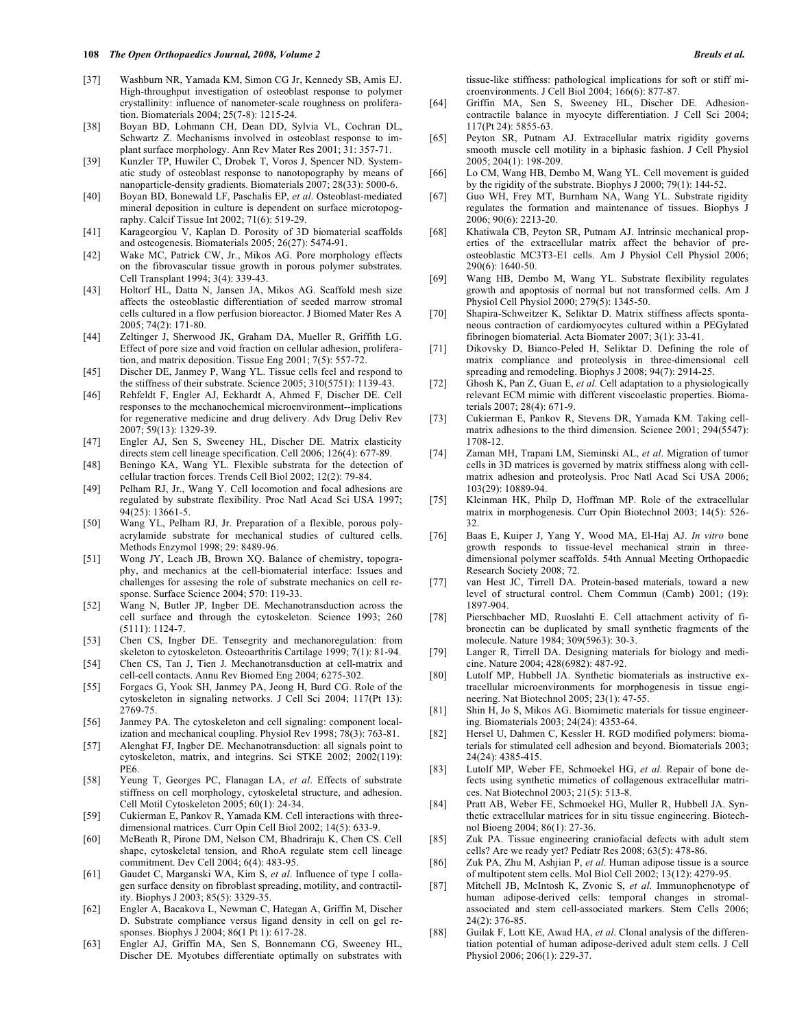- [37] Washburn NR, Yamada KM, Simon CG Jr, Kennedy SB, Amis EJ. High-throughput investigation of osteoblast response to polymer crystallinity: influence of nanometer-scale roughness on proliferation. Biomaterials 2004; 25(7-8): 1215-24.
- [38] Boyan BD, Lohmann CH, Dean DD, Sylvia VL, Cochran DL, Schwartz Z. Mechanisms involved in osteoblast response to implant surface morphology. Ann Rev Mater Res 2001; 31: 357-71.
- [39] Kunzler TP, Huwiler C, Drobek T, Voros J, Spencer ND. Systematic study of osteoblast response to nanotopography by means of nanoparticle-density gradients. Biomaterials 2007; 28(33): 5000-6.
- [40] Boyan BD, Bonewald LF, Paschalis EP, *et al*. Osteoblast-mediated mineral deposition in culture is dependent on surface microtopography. Calcif Tissue Int 2002; 71(6): 519-29.
- [41] Karageorgiou V, Kaplan D. Porosity of 3D biomaterial scaffolds and osteogenesis. Biomaterials 2005; 26(27): 5474-91.
- [42] Wake MC, Patrick CW, Jr., Mikos AG. Pore morphology effects on the fibrovascular tissue growth in porous polymer substrates. Cell Transplant 1994; 3(4): 339-43.
- [43] Holtorf HL, Datta N, Jansen JA, Mikos AG. Scaffold mesh size affects the osteoblastic differentiation of seeded marrow stromal cells cultured in a flow perfusion bioreactor. J Biomed Mater Res A 2005; 74(2): 171-80.
- [44] Zeltinger J, Sherwood JK, Graham DA, Mueller R, Griffith LG. Effect of pore size and void fraction on cellular adhesion, proliferation, and matrix deposition. Tissue Eng 2001; 7(5): 557-72.
- [45] Discher DE, Janmey P, Wang YL. Tissue cells feel and respond to the stiffness of their substrate. Science 2005; 310(5751): 1139-43.
- [46] Rehfeldt F, Engler AJ, Eckhardt A, Ahmed F, Discher DE. Cell responses to the mechanochemical microenvironment--implications for regenerative medicine and drug delivery. Adv Drug Deliv Rev 2007; 59(13): 1329-39.
- [47] Engler AJ, Sen S, Sweeney HL, Discher DE. Matrix elasticity directs stem cell lineage specification. Cell 2006; 126(4): 677-89.
- [48] Beningo KA, Wang YL. Flexible substrata for the detection of cellular traction forces. Trends Cell Biol 2002; 12(2): 79-84.
- [49] Pelham RJ, Jr., Wang Y. Cell locomotion and focal adhesions are regulated by substrate flexibility. Proc Natl Acad Sci USA 1997; 94(25): 13661-5.
- [50] Wang YL, Pelham RJ, Jr. Preparation of a flexible, porous polyacrylamide substrate for mechanical studies of cultured cells. Methods Enzymol 1998; 29: 8489-96.
- [51] Wong JY, Leach JB, Brown XQ. Balance of chemistry, topography, and mechanics at the cell-biomaterial interface: Issues and challenges for assesing the role of substrate mechanics on cell response. Surface Science 2004; 570: 119-33.
- [52] Wang N, Butler JP, Ingber DE. Mechanotransduction across the cell surface and through the cytoskeleton. Science 1993; 260 (5111): 1124-7.
- [53] Chen CS, Ingber DE. Tensegrity and mechanoregulation: from skeleton to cytoskeleton. Osteoarthritis Cartilage 1999; 7(1): 81-94.
- [54] Chen CS, Tan J, Tien J. Mechanotransduction at cell-matrix and cell-cell contacts. Annu Rev Biomed Eng 2004; 6275-302.
- [55] Forgacs G, Yook SH, Janmey PA, Jeong H, Burd CG. Role of the cytoskeleton in signaling networks. J Cell Sci 2004; 117(Pt 13): 2769-75.
- [56] Janmey PA. The cytoskeleton and cell signaling: component localization and mechanical coupling. Physiol Rev 1998; 78(3): 763-81.
- [57] Alenghat FJ, Ingber DE. Mechanotransduction: all signals point to cytoskeleton, matrix, and integrins. Sci STKE 2002; 2002(119): PE6.
- [58] Yeung T, Georges PC, Flanagan LA, *et al*. Effects of substrate stiffness on cell morphology, cytoskeletal structure, and adhesion. Cell Motil Cytoskeleton 2005; 60(1): 24-34.
- [59] Cukierman E, Pankov R, Yamada KM. Cell interactions with threedimensional matrices. Curr Opin Cell Biol 2002; 14(5): 633-9.
- [60] McBeath R, Pirone DM, Nelson CM, Bhadriraju K, Chen CS. Cell shape, cytoskeletal tension, and RhoA regulate stem cell lineage commitment. Dev Cell 2004; 6(4): 483-95.
- [61] Gaudet C, Marganski WA, Kim S, *et al*. Influence of type I collagen surface density on fibroblast spreading, motility, and contractility. Biophys J 2003; 85(5): 3329-35.
- [62] Engler A, Bacakova L, Newman C, Hategan A, Griffin M, Discher D. Substrate compliance versus ligand density in cell on gel responses. Biophys J 2004; 86(1 Pt 1): 617-28.
- [63] Engler AJ, Griffin MA, Sen S, Bonnemann CG, Sweeney HL, Discher DE. Myotubes differentiate optimally on substrates with

tissue-like stiffness: pathological implications for soft or stiff microenvironments. J Cell Biol 2004; 166(6): 877-87.

- [64] Griffin MA, Sen S, Sweeney HL, Discher DE. Adhesioncontractile balance in myocyte differentiation. J Cell Sci 2004; 117(Pt 24): 5855-63.
- [65] Peyton SR, Putnam AJ. Extracellular matrix rigidity governs smooth muscle cell motility in a biphasic fashion. J Cell Physiol 2005; 204(1): 198-209.
- [66] Lo CM, Wang HB, Dembo M, Wang YL. Cell movement is guided by the rigidity of the substrate. Biophys J 2000; 79(1): 144-52.
- [67] Guo WH, Frey MT, Burnham NA, Wang YL. Substrate rigidity regulates the formation and maintenance of tissues. Biophys J 2006; 90(6): 2213-20.
- [68] Khatiwala CB, Peyton SR, Putnam AJ. Intrinsic mechanical properties of the extracellular matrix affect the behavior of preosteoblastic MC3T3-E1 cells. Am J Physiol Cell Physiol 2006; 290(6): 1640-50.
- [69] Wang HB, Dembo M, Wang YL. Substrate flexibility regulates growth and apoptosis of normal but not transformed cells. Am J Physiol Cell Physiol 2000; 279(5): 1345-50.
- [70] Shapira-Schweitzer K, Seliktar D. Matrix stiffness affects spontaneous contraction of cardiomyocytes cultured within a PEGylated fibrinogen biomaterial. Acta Biomater 2007; 3(1): 33-41.
- [71] Dikovsky D, Bianco-Peled H, Seliktar D. Defining the role of matrix compliance and proteolysis in three-dimensional cell spreading and remodeling. Biophys J 2008; 94(7): 2914-25.
- [72] Ghosh K, Pan Z, Guan E, *et al*. Cell adaptation to a physiologically relevant ECM mimic with different viscoelastic properties. Biomaterials 2007; 28(4): 671-9.
- [73] Cukierman E, Pankov R, Stevens DR, Yamada KM. Taking cellmatrix adhesions to the third dimension. Science 2001; 294(5547): 1708-12.
- [74] Zaman MH, Trapani LM, Sieminski AL, *et al*. Migration of tumor cells in 3D matrices is governed by matrix stiffness along with cellmatrix adhesion and proteolysis. Proc Natl Acad Sci USA 2006; 103(29): 10889-94.
- [75] Kleinman HK, Philp D, Hoffman MP. Role of the extracellular matrix in morphogenesis. Curr Opin Biotechnol 2003; 14(5): 526- 32.
- [76] Baas E, Kuiper J, Yang Y, Wood MA, El-Haj AJ. *In vitro* bone growth responds to tissue-level mechanical strain in threedimensional polymer scaffolds. 54th Annual Meeting Orthopaedic Research Society 2008; 72.
- [77] van Hest JC, Tirrell DA. Protein-based materials, toward a new level of structural control. Chem Commun (Camb) 2001; (19): 1897-904.
- [78] Pierschbacher MD, Ruoslahti E. Cell attachment activity of fibronectin can be duplicated by small synthetic fragments of the molecule. Nature 1984; 309(5963): 30-3.
- [79] Langer R, Tirrell DA. Designing materials for biology and medicine. Nature 2004; 428(6982): 487-92.
- [80] Lutolf MP, Hubbell JA. Synthetic biomaterials as instructive extracellular microenvironments for morphogenesis in tissue engineering. Nat Biotechnol 2005; 23(1): 47-55.
- [81] Shin H, Jo S, Mikos AG. Biomimetic materials for tissue engineering. Biomaterials 2003; 24(24): 4353-64.
- [82] Hersel U, Dahmen C, Kessler H. RGD modified polymers: biomaterials for stimulated cell adhesion and beyond. Biomaterials 2003; 24(24): 4385-415.
- [83] Lutolf MP, Weber FE, Schmoekel HG, *et al*. Repair of bone defects using synthetic mimetics of collagenous extracellular matrices. Nat Biotechnol 2003; 21(5): 513-8.
- [84] Pratt AB, Weber FE, Schmoekel HG, Muller R, Hubbell JA. Synthetic extracellular matrices for in situ tissue engineering. Biotechnol Bioeng 2004; 86(1): 27-36.
- [85] Zuk PA. Tissue engineering craniofacial defects with adult stem cells? Are we ready yet? Pediatr Res 2008; 63(5): 478-86.
- [86] Zuk PA, Zhu M, Ashjian P, *et al*. Human adipose tissue is a source of multipotent stem cells. Mol Biol Cell 2002; 13(12): 4279-95.
- [87] Mitchell JB, McIntosh K, Zvonic S, *et al*. Immunophenotype of human adipose-derived cells: temporal changes in stromalassociated and stem cell-associated markers. Stem Cells 2006; 24(2): 376-85.
- [88] Guilak F, Lott KE, Awad HA, *et al*. Clonal analysis of the differentiation potential of human adipose-derived adult stem cells. J Cell Physiol 2006; 206(1): 229-37.